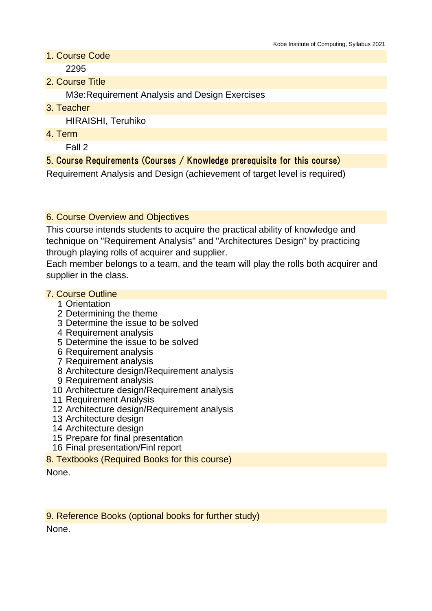- 1. Course Code 2295
- 2. Course Title

M3e:Requirement Analysis and Design Exercises

3. Teacher

HIRAISHI, Teruhiko

4. Term

Fall 2

## 5. Course Requirements (Courses / Knowledge prerequisite for this course)

Requirement Analysis and Design (achievement of target level is required)

### 6. Course Overview and Objectives

This course intends students to acquire the practical ability of knowledge and technique on "Requirement Analysis" and "Architectures Design" by practicing through playing rolls of acquirer and supplier.

Each member belongs to a team, and the team will play the rolls both acquirer and supplier in the class.

### 7. Course Outline

- 1 Orientation
- 2 Determining the theme
- 3 Determine the issue to be solved
- 4 Requirement analysis
- 5 Determine the issue to be solved
- 6 Requirement analysis
- 7 Requirement analysis
- 8 Architecture design/Requirement analysis
- 9 Requirement analysis
- 10 Architecture design/Requirement analysis
- 11 Requirement Analysis
- 12 Architecture design/Requirement analysis
- 13 Architecture design
- 14 Architecture design
- 15 Prepare for final presentation
- 16 Final presentation/Finl report
- 8. Textbooks (Required Books for this course)

None.

9. Reference Books (optional books for further study)

None.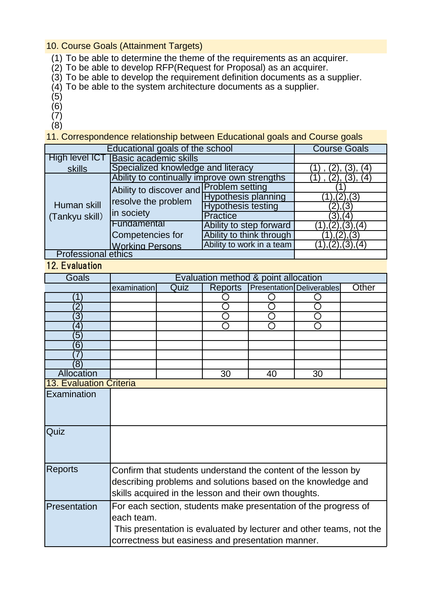#### 10. Course Goals (Attainment Targets)

- (1) To be able to determine the theme of the requirements as an acquirer.
- (2) To be able to develop RFP(Request for Proposal) as an acquirer.
- (3) To be able to develop the requirement definition documents as a supplier.
- (4) To be able to the system architecture documents as a supplier.
- (5)
- (6)
- (7)
- (8)

11. Correspondence relationship between Educational goals and Course goals

| Educational goals of the school | <b>Course Goals</b>                                                          |                            |                    |
|---------------------------------|------------------------------------------------------------------------------|----------------------------|--------------------|
| High level ICT                  | <b>Basic academic skills</b>                                                 |                            |                    |
| skills                          | Specialized knowledge and literacy                                           | (2), (3),<br>(4            |                    |
| Human skill<br>(Tankyu skill)   | Ability to continually improve own strengths                                 |                            | (3),<br>(4)        |
|                                 | Ability to discover and Problem setting<br>resolve the problem<br>in society |                            |                    |
|                                 |                                                                              | <b>Hypothesis planning</b> | 1,(2),(3)          |
|                                 |                                                                              | <b>Hypothesis testing</b>  | (2), (3)           |
|                                 |                                                                              | Practice                   | $(3)$ , $(4)$      |
|                                 | Fundamental                                                                  | Ability to step forward    | (2), (3), (4)      |
|                                 | Competencies for                                                             | Ability to think through   | (1), (2), (3)      |
|                                 | <b>Working Persons</b>                                                       | Ability to work in a team  | (1), (2), (3), (4) |
| <b>Professional ethics</b>      |                                                                              |                            |                    |

# 12. Evaluation

| Goals                          | Evaluation method & point allocation                                                                                                                                                                      |      |                |    |                           |       |  |
|--------------------------------|-----------------------------------------------------------------------------------------------------------------------------------------------------------------------------------------------------------|------|----------------|----|---------------------------|-------|--|
|                                | examination                                                                                                                                                                                               | Quiz | <b>Reports</b> |    | Presentation Deliverables | Other |  |
|                                |                                                                                                                                                                                                           |      |                |    |                           |       |  |
| 2                              |                                                                                                                                                                                                           |      |                |    |                           |       |  |
| $\overline{3}$                 |                                                                                                                                                                                                           |      |                |    |                           |       |  |
| 4                              |                                                                                                                                                                                                           |      |                |    |                           |       |  |
| $\overline{5}$                 |                                                                                                                                                                                                           |      |                |    |                           |       |  |
| 6                              |                                                                                                                                                                                                           |      |                |    |                           |       |  |
|                                |                                                                                                                                                                                                           |      |                |    |                           |       |  |
| $\left(8\right)$               |                                                                                                                                                                                                           |      |                |    |                           |       |  |
| Allocation                     |                                                                                                                                                                                                           |      | 30             | 40 | 30                        |       |  |
| <b>13. Evaluation Criteria</b> |                                                                                                                                                                                                           |      |                |    |                           |       |  |
| Examination                    |                                                                                                                                                                                                           |      |                |    |                           |       |  |
| Quiz                           |                                                                                                                                                                                                           |      |                |    |                           |       |  |
| <b>Reports</b>                 | Confirm that students understand the content of the lesson by<br>describing problems and solutions based on the knowledge and<br>skills acquired in the lesson and their own thoughts.                    |      |                |    |                           |       |  |
| Presentation                   | For each section, students make presentation of the progress of<br>each team.<br>This presentation is evaluated by lecturer and other teams, not the<br>correctness but easiness and presentation manner. |      |                |    |                           |       |  |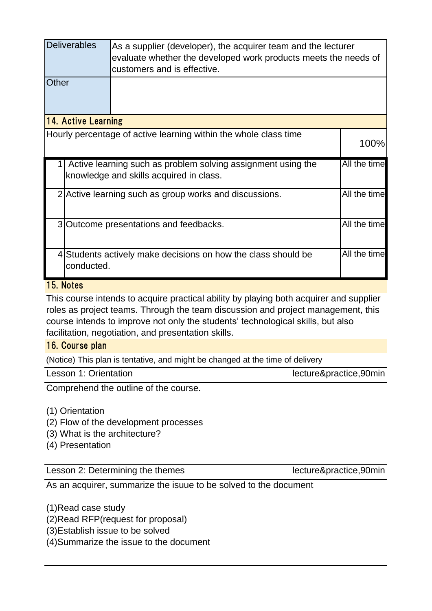|                                                                                                         | <b>Deliverables</b><br>As a supplier (developer), the acquirer team and the lecturer<br>evaluate whether the developed work products meets the needs of<br>customers and is effective. |                                                                  |              |  |  |
|---------------------------------------------------------------------------------------------------------|----------------------------------------------------------------------------------------------------------------------------------------------------------------------------------------|------------------------------------------------------------------|--------------|--|--|
| Other                                                                                                   |                                                                                                                                                                                        |                                                                  |              |  |  |
| 14. Active Learning                                                                                     |                                                                                                                                                                                        |                                                                  |              |  |  |
|                                                                                                         |                                                                                                                                                                                        | Hourly percentage of active learning within the whole class time | 100%         |  |  |
| Active learning such as problem solving assignment using the<br>knowledge and skills acquired in class. |                                                                                                                                                                                        | All the time                                                     |              |  |  |
|                                                                                                         |                                                                                                                                                                                        | 2 Active learning such as group works and discussions.           | All the time |  |  |
|                                                                                                         |                                                                                                                                                                                        | 3 Outcome presentations and feedbacks.                           | All the time |  |  |
| 41                                                                                                      | conducted.                                                                                                                                                                             | Students actively make decisions on how the class should be      | All the time |  |  |

### 15. Notes

This course intends to acquire practical ability by playing both acquirer and supplier roles as project teams. Through the team discussion and project management, this course intends to improve not only the students' technological skills, but also facilitation, negotiation, and presentation skills.

### 16. Course plan

(Notice) This plan is tentative, and might be changed at the time of delivery

| Lesson 1: Orientation |  |
|-----------------------|--|
|-----------------------|--|

lecture&practice,90min

Comprehend the outline of the course.

(1) Orientation

- (2) Flow of the development processes
- (3) What is the architecture?

(4) Presentation

Lesson 2: Determining the themes lecture&practice,90min

As an acquirer, summarize the isuue to be solved to the document

(1)Read case study

(2)Read RFP(request for proposal)

(3)Establish issue to be solved

(4)Summarize the issue to the document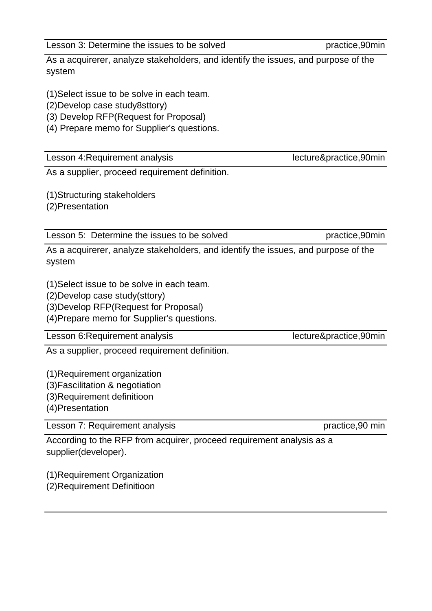As a acquirerer, analyze stakeholders, and identify the issues, and purpose of the system

(1)Select issue to be solve in each team.

(2)Develop case study8sttory)

(3) Develop RFP(Request for Proposal)

(4) Prepare memo for Supplier's questions.

Lesson 4: Requirement analysis lecture&practice,90min

As a supplier, proceed requirement definition.

(1)Structuring stakeholders

(2)Presentation

Lesson 5: Determine the issues to be solved practice,90min

As a acquirerer, analyze stakeholders, and identify the issues, and purpose of the system

(1)Select issue to be solve in each team.

(2)Develop case study(sttory)

(3)Develop RFP(Request for Proposal)

(4)Prepare memo for Supplier's questions.

Lesson 6: Requirement analysis lecture&practice, 90min

As a supplier, proceed requirement definition.

(1)Requirement organization

(3)Fascilitation & negotiation

(3)Requirement definitioon

(4)Presentation

Lesson 7: Requirement analysis example to the practice, and practice, 90 min

According to the RFP from acquirer, proceed requirement analysis as a supplier(developer).

(1)Requirement Organization (2)Requirement Definitioon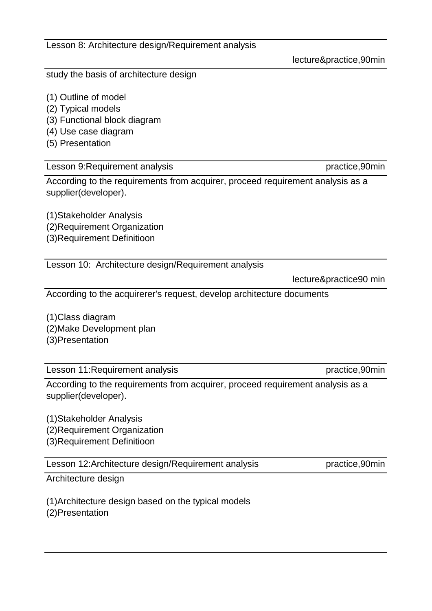Lesson 8: Architecture design/Requirement analysis

study the basis of architecture design

- (1) Outline of model
- (2) Typical models
- (3) Functional block diagram
- (4) Use case diagram
- (5) Presentation

# Lesson 9: Requirement analysis example and the settlement of the practice,90min

According to the requirements from acquirer, proceed requirement analysis as a supplier(developer).

(1)Stakeholder Analysis (2)Requirement Organization (3)Requirement Definitioon

Lesson 10: Architecture design/Requirement analysis

lecture&practice90 min

According to the acquirerer's request, develop architecture documents

(1)Class diagram (2)Make Development plan (3)Presentation

Lesson 11: Requirement analysis example and the settlement of the practice,90min

According to the requirements from acquirer, proceed requirement analysis as a supplier(developer).

(1)Stakeholder Analysis (2)Requirement Organization (3)Requirement Definitioon

Lesson 12:Architecture design/Requirement analysis practice,90min

Architecture design

(1)Architecture design based on the typical models (2)Presentation

lecture&practice,90min